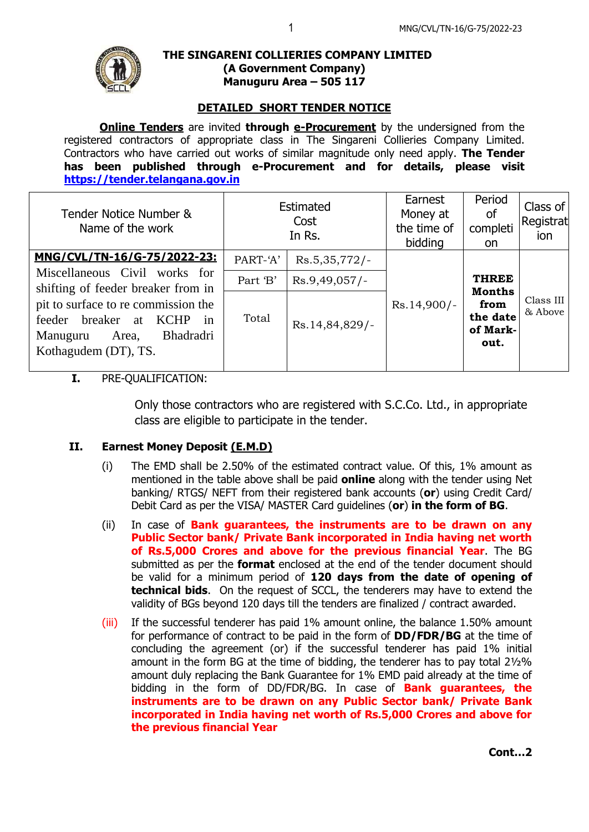

#### **THE SINGARENI COLLIERIES COMPANY LIMITED (A Government Company) Manuguru Area – 505 117**

# **DETAILED SHORT TENDER NOTICE**

**Online Tenders** are invited **through e-Procurement** by the undersigned from the registered contractors of appropriate class in The Singareni Collieries Company Limited. Contractors who have carried out works of similar magnitude only need apply. **The Tender has been published through e-Procurement and for details, please visit [https://tender.telangana.gov.in](https://tender.telangana.gov.in/)**

| Tender Notice Number &<br>Name of the work                                                                                                                             | Estimated<br>Cost<br>In Rs. |                 | Earnest<br>Money at<br>the time of<br>bidding | Period<br>0f<br>completi<br>on.                       | Class of<br>Registrat<br>ion |
|------------------------------------------------------------------------------------------------------------------------------------------------------------------------|-----------------------------|-----------------|-----------------------------------------------|-------------------------------------------------------|------------------------------|
| MNG/CVL/TN-16/G-75/2022-23:                                                                                                                                            | PART-'A'                    | $Rs.5,35,772/-$ |                                               |                                                       |                              |
| Miscellaneous Civil works for                                                                                                                                          | Part 'B'                    | $Rs.9,49,057/-$ |                                               | <b>THREE</b>                                          |                              |
| shifting of feeder breaker from in<br>pit to surface to re commission the<br>feeder breaker<br>at KCHP<br>1n<br>Bhadradri<br>Area,<br>Manuguru<br>Kothagudem (DT), TS. | Total                       | Rs.14,84,829/-  | $Rs.14,900/-$                                 | <b>Months</b><br>from<br>the date<br>of Mark-<br>out. | Class III<br>& Above         |

# **I.** PRE-QUALIFICATION:

Only those contractors who are registered with S.C.Co. Ltd., in appropriate class are eligible to participate in the tender.

## **II. Earnest Money Deposit (E.M.D)**

- (i) The EMD shall be 2.50% of the estimated contract value. Of this, 1% amount as mentioned in the table above shall be paid **online** along with the tender using Net banking/ RTGS/ NEFT from their registered bank accounts (**or**) using Credit Card/ Debit Card as per the VISA/ MASTER Card guidelines (**or**) **in the form of BG**.
- (ii) In case of **Bank guarantees, the instruments are to be drawn on any Public Sector bank/ Private Bank incorporated in India having net worth of Rs.5,000 Crores and above for the previous financial Year**. The BG submitted as per the **format** enclosed at the end of the tender document should be valid for a minimum period of **120 days from the date of opening of technical bids**. On the request of SCCL, the tenderers may have to extend the validity of BGs beyond 120 days till the tenders are finalized / contract awarded.
- (iii) If the successful tenderer has paid 1% amount online, the balance 1.50% amount for performance of contract to be paid in the form of **DD/FDR/BG** at the time of concluding the agreement (or) if the successful tenderer has paid 1% initial amount in the form BG at the time of bidding, the tenderer has to pay total  $2\frac{1}{2}\%$ amount duly replacing the Bank Guarantee for 1% EMD paid already at the time of bidding in the form of DD/FDR/BG. In case of **Bank guarantees, the instruments are to be drawn on any Public Sector bank/ Private Bank incorporated in India having net worth of Rs.5,000 Crores and above for the previous financial Year**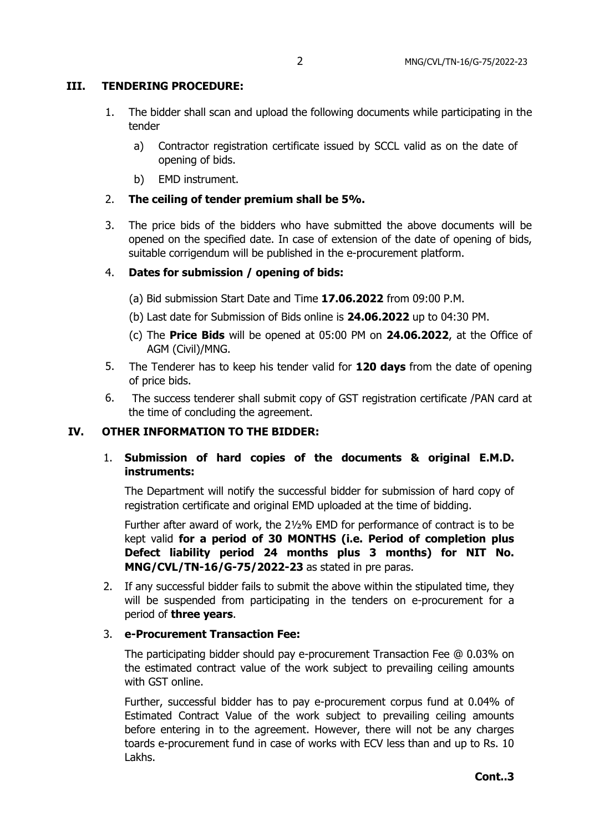## **III. TENDERING PROCEDURE:**

- 1. The bidder shall scan and upload the following documents while participating in the tender
	- a) Contractor registration certificate issued by SCCL valid as on the date of opening of bids.
	- b) EMD instrument.
- 2. **The ceiling of tender premium shall be 5%.**
- 3. The price bids of the bidders who have submitted the above documents will be opened on the specified date. In case of extension of the date of opening of bids, suitable corrigendum will be published in the e-procurement platform.

### 4. **Dates for submission / opening of bids:**

- (a) Bid submission Start Date and Time **17.06.2022** from 09:00 P.M.
- (b) Last date for Submission of Bids online is **24.06.2022** up to 04:30 PM.
- (c) The **Price Bids** will be opened at 05:00 PM on **24.06.2022**, at the Office of AGM (Civil)/MNG.
- 5. The Tenderer has to keep his tender valid for **120 days** from the date of opening of price bids.
- 6. The success tenderer shall submit copy of GST registration certificate /PAN card at the time of concluding the agreement.

### **IV. OTHER INFORMATION TO THE BIDDER:**

# 1. **Submission of hard copies of the documents & original E.M.D. instruments:**

The Department will notify the successful bidder for submission of hard copy of registration certificate and original EMD uploaded at the time of bidding.

Further after award of work, the 2½% EMD for performance of contract is to be kept valid **for a period of 30 MONTHS (i.e. Period of completion plus Defect liability period 24 months plus 3 months) for NIT No. MNG/CVL/TN-16/G-75/2022-23** as stated in pre paras.

2. If any successful bidder fails to submit the above within the stipulated time, they will be suspended from participating in the tenders on e-procurement for a period of **three years**.

#### 3. **e-Procurement Transaction Fee:**

The participating bidder should pay e-procurement Transaction Fee @ 0.03% on the estimated contract value of the work subject to prevailing ceiling amounts with GST online.

Further, successful bidder has to pay e-procurement corpus fund at 0.04% of Estimated Contract Value of the work subject to prevailing ceiling amounts before entering in to the agreement. However, there will not be any charges toards e-procurement fund in case of works with ECV less than and up to Rs. 10 Lakhs.